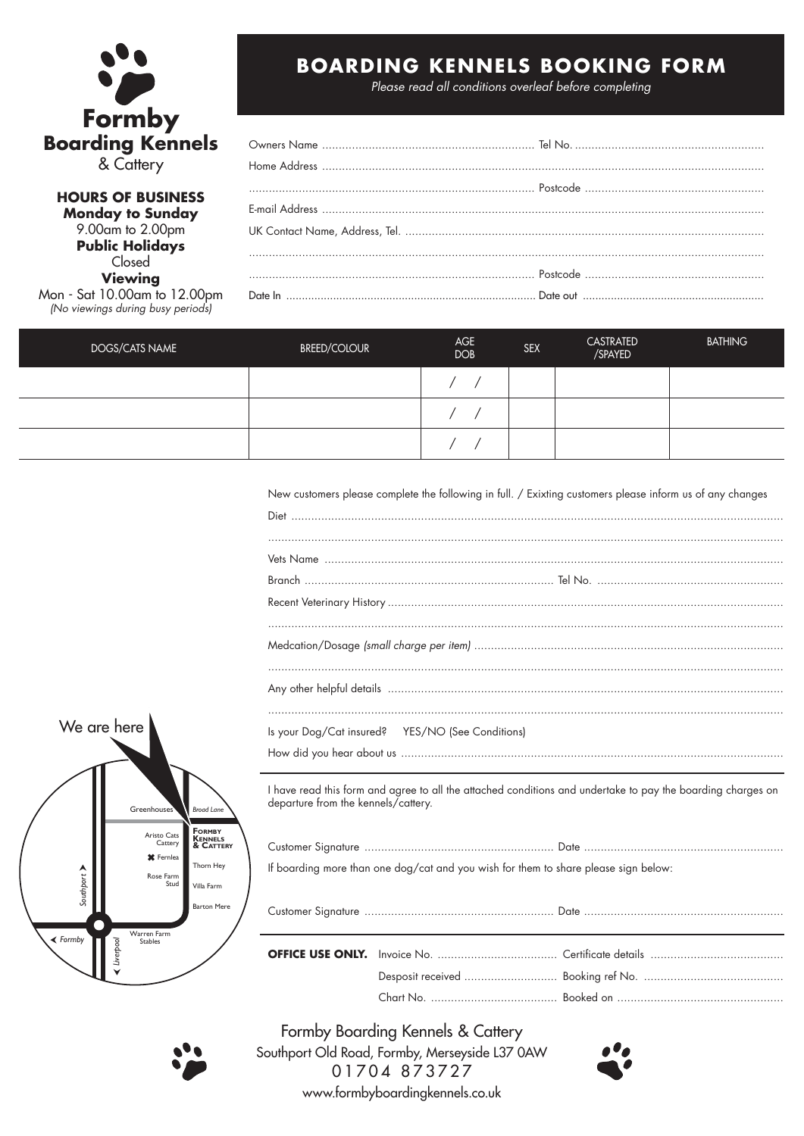

**HOURS OF BUSINESS Monday to Sunday** 9.00am to 2.00pm **Public Holidays** Closed **Viewing** Mon - Sat 10.00am to 12.00pm (No viewings during busy periods)

# **BOARDING KENNELS BOOKING FORM**

Please read all conditions overleaf before completing

| DOGS/CATS NAME | <b>BREED/COLOUR</b> | AGE<br><b>DOB</b> | <b>SEX</b> | <b>CASTRATED</b><br>/SPAYED | <b>BATHING</b> |
|----------------|---------------------|-------------------|------------|-----------------------------|----------------|
|                |                     |                   |            |                             |                |
|                |                     |                   |            |                             |                |
|                |                     |                   |            |                             |                |

New customers please complete the following in full. / Exixting customers please inform us of any changes

| Is your Dog/Cat insured? YES/NO (See Conditions) |  |  |
|--------------------------------------------------|--|--|
|                                                  |  |  |
|                                                  |  |  |



If boarding more than one dog/cat and you wish for them to share please sign below:



Formby Boarding Kennels & Cattery Southport Old Road, Formby, Merseyside L37 0AW 01704 873727 www.formbyboardingkennels.co.uk